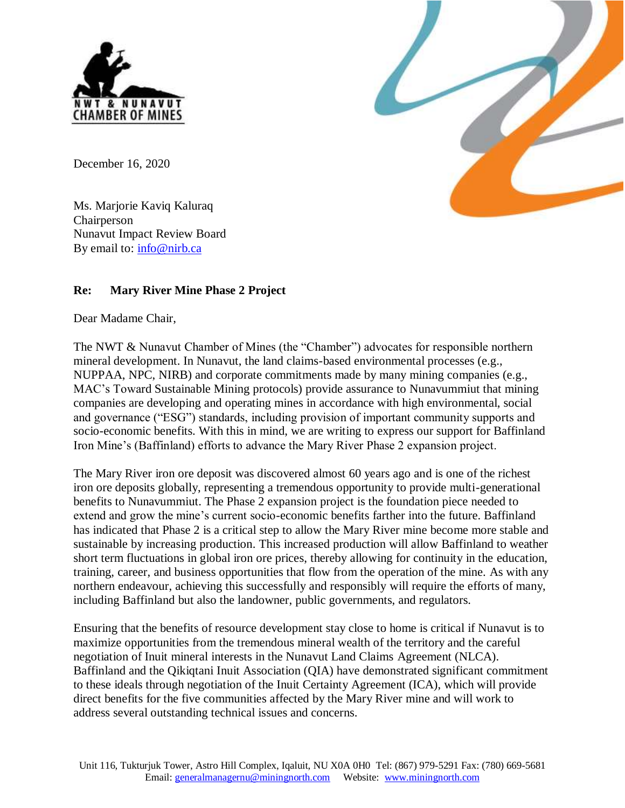

December 16, 2020

Ms. Marjorie Kaviq Kaluraq **Chairperson** Nunavut Impact Review Board By email to: [info@nirb.ca](mailto:info@nirb.ca)

## **Re: Mary River Mine Phase 2 Project**

Dear Madame Chair,

The NWT & Nunavut Chamber of Mines (the "Chamber") advocates for responsible northern mineral development. In Nunavut, the land claims-based environmental processes (e.g., NUPPAA, NPC, NIRB) and corporate commitments made by many mining companies (e.g., MAC's Toward Sustainable Mining protocols) provide assurance to Nunavummiut that mining companies are developing and operating mines in accordance with high environmental, social and governance ("ESG") standards, including provision of important community supports and socio-economic benefits. With this in mind, we are writing to express our support for Baffinland Iron Mine's (Baffinland) efforts to advance the Mary River Phase 2 expansion project.

The Mary River iron ore deposit was discovered almost 60 years ago and is one of the richest iron ore deposits globally, representing a tremendous opportunity to provide multi-generational benefits to Nunavummiut. The Phase 2 expansion project is the foundation piece needed to extend and grow the mine's current socio-economic benefits farther into the future. Baffinland has indicated that Phase 2 is a critical step to allow the Mary River mine become more stable and sustainable by increasing production. This increased production will allow Baffinland to weather short term fluctuations in global iron ore prices, thereby allowing for continuity in the education, training, career, and business opportunities that flow from the operation of the mine. As with any northern endeavour, achieving this successfully and responsibly will require the efforts of many, including Baffinland but also the landowner, public governments, and regulators.

Ensuring that the benefits of resource development stay close to home is critical if Nunavut is to maximize opportunities from the tremendous mineral wealth of the territory and the careful negotiation of Inuit mineral interests in the Nunavut Land Claims Agreement (NLCA). Baffinland and the Qikiqtani Inuit Association (QIA) have demonstrated significant commitment to these ideals through negotiation of the Inuit Certainty Agreement (ICA), which will provide direct benefits for the five communities affected by the Mary River mine and will work to address several outstanding technical issues and concerns.